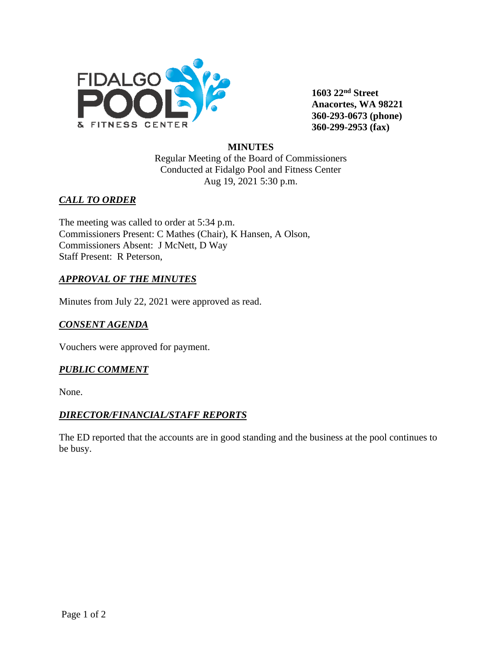

**1603 22nd Street Anacortes, WA 98221 360-293-0673 (phone) 360-299-2953 (fax)**

#### **MINUTES**

Regular Meeting of the Board of Commissioners Conducted at Fidalgo Pool and Fitness Center Aug 19, 2021 5:30 p.m.

# *CALL TO ORDER*

The meeting was called to order at 5:34 p.m. Commissioners Present: C Mathes (Chair), K Hansen, A Olson, Commissioners Absent: J McNett, D Way Staff Present: R Peterson,

# *APPROVAL OF THE MINUTES*

Minutes from July 22, 2021 were approved as read.

# *CONSENT AGENDA*

Vouchers were approved for payment.

## *PUBLIC COMMENT*

None.

## *DIRECTOR/FINANCIAL/STAFF REPORTS*

The ED reported that the accounts are in good standing and the business at the pool continues to be busy.